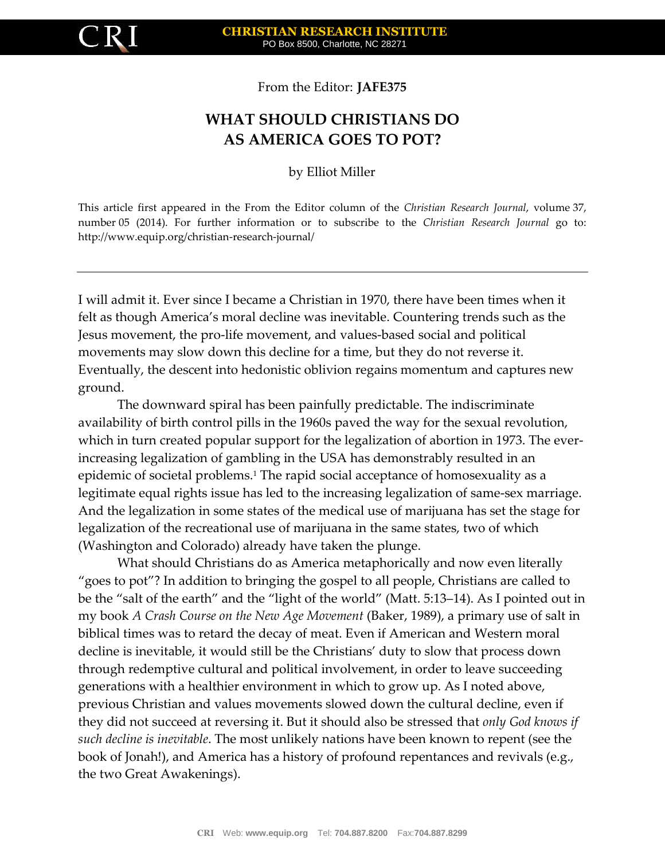

From the Editor: **JAFE375**

## **WHAT SHOULD CHRISTIANS DO AS AMERICA GOES TO POT?**

by Elliot Miller

This article first appeared in the From the Editor column of the *Christian Research Journal*, volume 37, number 05 (2014). For further information or to subscribe to the *Christian Research Journal* go to: http://www.equip.org/christian-research-journal/

I will admit it. Ever since I became a Christian in 1970, there have been times when it felt as though America's moral decline was inevitable. Countering trends such as the Jesus movement, the pro-life movement, and values-based social and political movements may slow down this decline for a time, but they do not reverse it. Eventually, the descent into hedonistic oblivion regains momentum and captures new ground.

The downward spiral has been painfully predictable. The indiscriminate availability of birth control pills in the 1960s paved the way for the sexual revolution, which in turn created popular support for the legalization of abortion in 1973. The everincreasing legalization of gambling in the USA has demonstrably resulted in an epidemic of societal problems.<sup>1</sup> The rapid social acceptance of homosexuality as a legitimate equal rights issue has led to the increasing legalization of same-sex marriage. And the legalization in some states of the medical use of marijuana has set the stage for legalization of the recreational use of marijuana in the same states, two of which (Washington and Colorado) already have taken the plunge.

What should Christians do as America metaphorically and now even literally "goes to pot"? In addition to bringing the gospel to all people, Christians are called to be the "salt of the earth" and the "light of the world" (Matt. 5:13–14). As I pointed out in my book *A Crash Course on the New Age Movement* (Baker, 1989), a primary use of salt in biblical times was to retard the decay of meat. Even if American and Western moral decline is inevitable, it would still be the Christians' duty to slow that process down through redemptive cultural and political involvement, in order to leave succeeding generations with a healthier environment in which to grow up. As I noted above, previous Christian and values movements slowed down the cultural decline, even if they did not succeed at reversing it. But it should also be stressed that *only God knows if such decline is inevitable*. The most unlikely nations have been known to repent (see the book of Jonah!), and America has a history of profound repentances and revivals (e.g., the two Great Awakenings).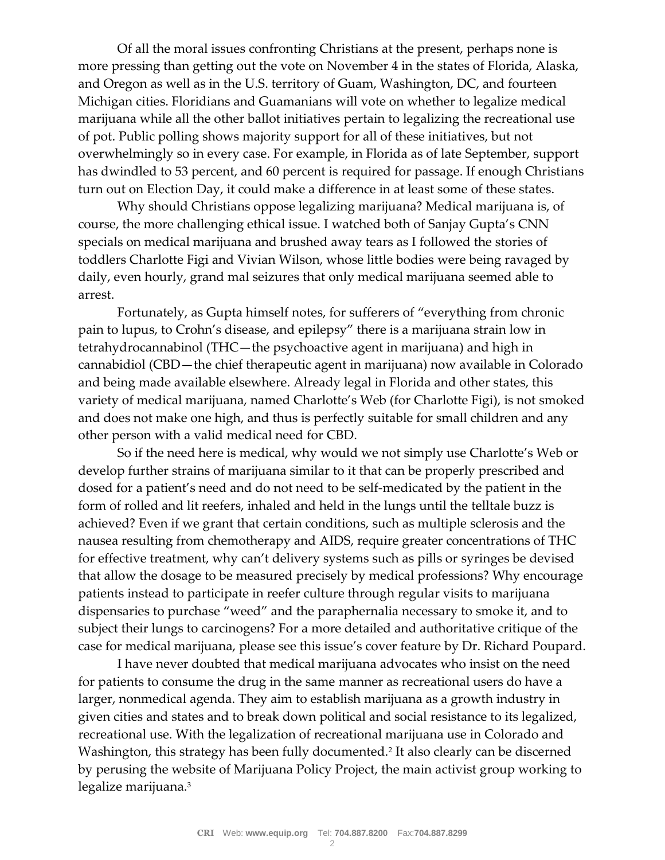Of all the moral issues confronting Christians at the present, perhaps none is more pressing than getting out the vote on November 4 in the states of Florida, Alaska, and Oregon as well as in the U.S. territory of Guam, Washington, DC, and fourteen Michigan cities. Floridians and Guamanians will vote on whether to legalize medical marijuana while all the other ballot initiatives pertain to legalizing the recreational use of pot. Public polling shows majority support for all of these initiatives, but not overwhelmingly so in every case. For example, in Florida as of late September, support has dwindled to 53 percent, and 60 percent is required for passage. If enough Christians turn out on Election Day, it could make a difference in at least some of these states.

Why should Christians oppose legalizing marijuana? Medical marijuana is, of course, the more challenging ethical issue. I watched both of Sanjay Gupta's CNN specials on medical marijuana and brushed away tears as I followed the stories of toddlers Charlotte Figi and Vivian Wilson, whose little bodies were being ravaged by daily, even hourly, grand mal seizures that only medical marijuana seemed able to arrest.

Fortunately, as Gupta himself notes, for sufferers of "everything from chronic pain to lupus, to Crohn's disease, and epilepsy" there is a marijuana strain low in tetrahydrocannabinol (THC—the psychoactive agent in marijuana) and high in cannabidiol (CBD—the chief therapeutic agent in marijuana) now available in Colorado and being made available elsewhere. Already legal in Florida and other states, this variety of medical marijuana, named Charlotte's Web (for Charlotte Figi), is not smoked and does not make one high, and thus is perfectly suitable for small children and any other person with a valid medical need for CBD.

So if the need here is medical, why would we not simply use Charlotte's Web or develop further strains of marijuana similar to it that can be properly prescribed and dosed for a patient's need and do not need to be self-medicated by the patient in the form of rolled and lit reefers, inhaled and held in the lungs until the telltale buzz is achieved? Even if we grant that certain conditions, such as multiple sclerosis and the nausea resulting from chemotherapy and AIDS, require greater concentrations of THC for effective treatment, why can't delivery systems such as pills or syringes be devised that allow the dosage to be measured precisely by medical professions? Why encourage patients instead to participate in reefer culture through regular visits to marijuana dispensaries to purchase "weed" and the paraphernalia necessary to smoke it, and to subject their lungs to carcinogens? For a more detailed and authoritative critique of the case for medical marijuana, please see this issue's cover feature by Dr. Richard Poupard.

I have never doubted that medical marijuana advocates who insist on the need for patients to consume the drug in the same manner as recreational users do have a larger, nonmedical agenda. They aim to establish marijuana as a growth industry in given cities and states and to break down political and social resistance to its legalized, recreational use. With the legalization of recreational marijuana use in Colorado and Washington, this strategy has been fully documented.<sup>2</sup> It also clearly can be discerned by perusing the website of Marijuana Policy Project, the main activist group working to legalize marijuana.3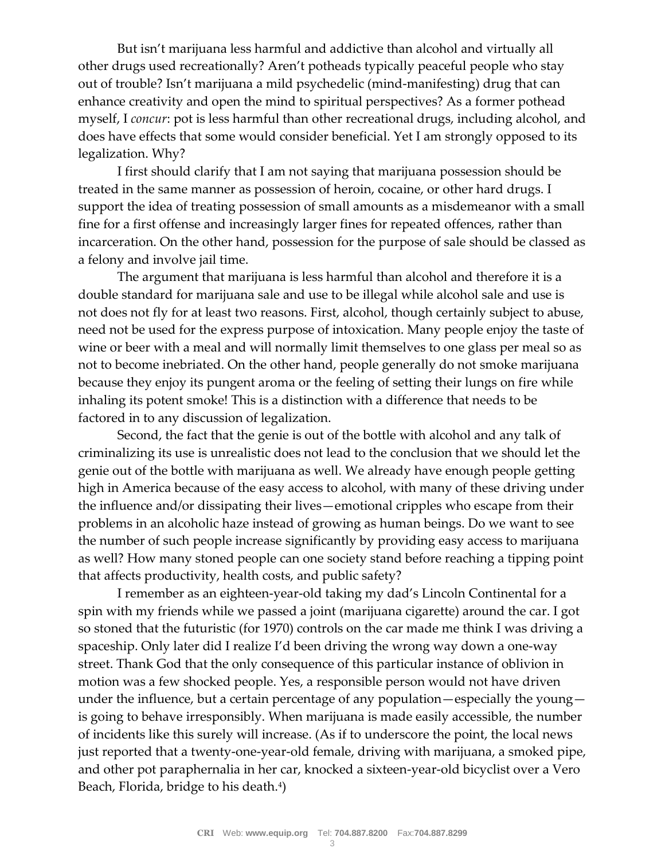But isn't marijuana less harmful and addictive than alcohol and virtually all other drugs used recreationally? Aren't potheads typically peaceful people who stay out of trouble? Isn't marijuana a mild psychedelic (mind-manifesting) drug that can enhance creativity and open the mind to spiritual perspectives? As a former pothead myself, I *concur*: pot is less harmful than other recreational drugs, including alcohol, and does have effects that some would consider beneficial. Yet I am strongly opposed to its legalization. Why?

I first should clarify that I am not saying that marijuana possession should be treated in the same manner as possession of heroin, cocaine, or other hard drugs. I support the idea of treating possession of small amounts as a misdemeanor with a small fine for a first offense and increasingly larger fines for repeated offences, rather than incarceration. On the other hand, possession for the purpose of sale should be classed as a felony and involve jail time.

The argument that marijuana is less harmful than alcohol and therefore it is a double standard for marijuana sale and use to be illegal while alcohol sale and use is not does not fly for at least two reasons. First, alcohol, though certainly subject to abuse, need not be used for the express purpose of intoxication. Many people enjoy the taste of wine or beer with a meal and will normally limit themselves to one glass per meal so as not to become inebriated. On the other hand, people generally do not smoke marijuana because they enjoy its pungent aroma or the feeling of setting their lungs on fire while inhaling its potent smoke! This is a distinction with a difference that needs to be factored in to any discussion of legalization.

Second, the fact that the genie is out of the bottle with alcohol and any talk of criminalizing its use is unrealistic does not lead to the conclusion that we should let the genie out of the bottle with marijuana as well. We already have enough people getting high in America because of the easy access to alcohol, with many of these driving under the influence and/or dissipating their lives—emotional cripples who escape from their problems in an alcoholic haze instead of growing as human beings. Do we want to see the number of such people increase significantly by providing easy access to marijuana as well? How many stoned people can one society stand before reaching a tipping point that affects productivity, health costs, and public safety?

I remember as an eighteen-year-old taking my dad's Lincoln Continental for a spin with my friends while we passed a joint (marijuana cigarette) around the car. I got so stoned that the futuristic (for 1970) controls on the car made me think I was driving a spaceship. Only later did I realize I'd been driving the wrong way down a one-way street. Thank God that the only consequence of this particular instance of oblivion in motion was a few shocked people. Yes, a responsible person would not have driven under the influence, but a certain percentage of any population—especially the young is going to behave irresponsibly. When marijuana is made easily accessible, the number of incidents like this surely will increase. (As if to underscore the point, the local news just reported that a twenty-one-year-old female, driving with marijuana, a smoked pipe, and other pot paraphernalia in her car, knocked a sixteen-year-old bicyclist over a Vero Beach, Florida, bridge to his death.<sup>4</sup>)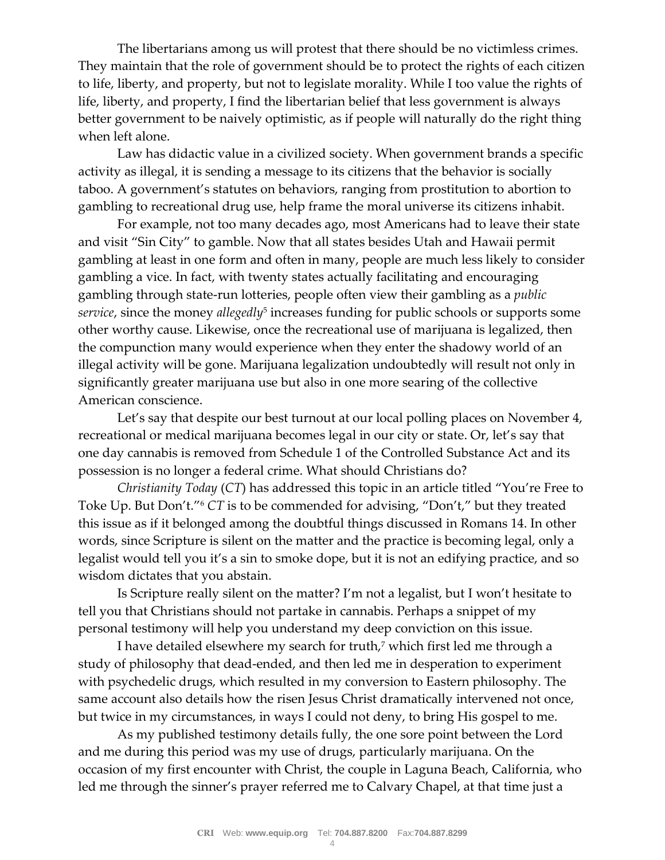The libertarians among us will protest that there should be no victimless crimes. They maintain that the role of government should be to protect the rights of each citizen to life, liberty, and property, but not to legislate morality. While I too value the rights of life, liberty, and property, I find the libertarian belief that less government is always better government to be naively optimistic, as if people will naturally do the right thing when left alone.

Law has didactic value in a civilized society. When government brands a specific activity as illegal, it is sending a message to its citizens that the behavior is socially taboo. A government's statutes on behaviors, ranging from prostitution to abortion to gambling to recreational drug use, help frame the moral universe its citizens inhabit.

For example, not too many decades ago, most Americans had to leave their state and visit "Sin City" to gamble. Now that all states besides Utah and Hawaii permit gambling at least in one form and often in many, people are much less likely to consider gambling a vice. In fact, with twenty states actually facilitating and encouraging gambling through state-run lotteries, people often view their gambling as a *public*   $\emph{service}$ , since the money *allegedly<sup>5</sup>* increases funding for public schools or supports some other worthy cause. Likewise, once the recreational use of marijuana is legalized, then the compunction many would experience when they enter the shadowy world of an illegal activity will be gone. Marijuana legalization undoubtedly will result not only in significantly greater marijuana use but also in one more searing of the collective American conscience.

Let's say that despite our best turnout at our local polling places on November 4, recreational or medical marijuana becomes legal in our city or state. Or, let's say that one day cannabis is removed from Schedule 1 of the Controlled Substance Act and its possession is no longer a federal crime. What should Christians do?

*Christianity Today* (*CT*) has addressed this topic in an article titled "You're Free to Toke Up. But Don't."<sup>6</sup> *CT* is to be commended for advising, "Don't," but they treated this issue as if it belonged among the doubtful things discussed in Romans 14. In other words, since Scripture is silent on the matter and the practice is becoming legal, only a legalist would tell you it's a sin to smoke dope, but it is not an edifying practice, and so wisdom dictates that you abstain.

Is Scripture really silent on the matter? I'm not a legalist, but I won't hesitate to tell you that Christians should not partake in cannabis. Perhaps a snippet of my personal testimony will help you understand my deep conviction on this issue.

I have detailed elsewhere my search for truth,<sup>7</sup> which first led me through a study of philosophy that dead-ended, and then led me in desperation to experiment with psychedelic drugs, which resulted in my conversion to Eastern philosophy. The same account also details how the risen Jesus Christ dramatically intervened not once, but twice in my circumstances, in ways I could not deny, to bring His gospel to me.

As my published testimony details fully, the one sore point between the Lord and me during this period was my use of drugs, particularly marijuana. On the occasion of my first encounter with Christ, the couple in Laguna Beach, California, who led me through the sinner's prayer referred me to Calvary Chapel, at that time just a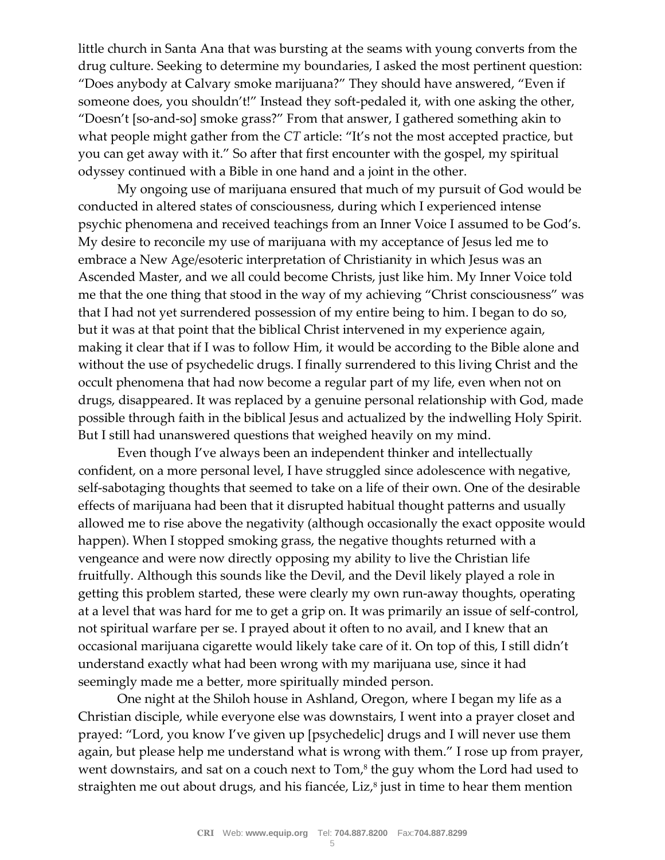little church in Santa Ana that was bursting at the seams with young converts from the drug culture. Seeking to determine my boundaries, I asked the most pertinent question: "Does anybody at Calvary smoke marijuana?" They should have answered, "Even if someone does, you shouldn't!" Instead they soft-pedaled it, with one asking the other, "Doesn't [so-and-so] smoke grass?" From that answer, I gathered something akin to what people might gather from the *CT* article: "It's not the most accepted practice, but you can get away with it." So after that first encounter with the gospel, my spiritual odyssey continued with a Bible in one hand and a joint in the other.

My ongoing use of marijuana ensured that much of my pursuit of God would be conducted in altered states of consciousness, during which I experienced intense psychic phenomena and received teachings from an Inner Voice I assumed to be God's. My desire to reconcile my use of marijuana with my acceptance of Jesus led me to embrace a New Age/esoteric interpretation of Christianity in which Jesus was an Ascended Master, and we all could become Christs, just like him. My Inner Voice told me that the one thing that stood in the way of my achieving "Christ consciousness" was that I had not yet surrendered possession of my entire being to him. I began to do so, but it was at that point that the biblical Christ intervened in my experience again, making it clear that if I was to follow Him, it would be according to the Bible alone and without the use of psychedelic drugs. I finally surrendered to this living Christ and the occult phenomena that had now become a regular part of my life, even when not on drugs, disappeared. It was replaced by a genuine personal relationship with God, made possible through faith in the biblical Jesus and actualized by the indwelling Holy Spirit. But I still had unanswered questions that weighed heavily on my mind.

Even though I've always been an independent thinker and intellectually confident, on a more personal level, I have struggled since adolescence with negative, self-sabotaging thoughts that seemed to take on a life of their own. One of the desirable effects of marijuana had been that it disrupted habitual thought patterns and usually allowed me to rise above the negativity (although occasionally the exact opposite would happen). When I stopped smoking grass, the negative thoughts returned with a vengeance and were now directly opposing my ability to live the Christian life fruitfully. Although this sounds like the Devil, and the Devil likely played a role in getting this problem started, these were clearly my own run-away thoughts, operating at a level that was hard for me to get a grip on. It was primarily an issue of self-control, not spiritual warfare per se. I prayed about it often to no avail, and I knew that an occasional marijuana cigarette would likely take care of it. On top of this, I still didn't understand exactly what had been wrong with my marijuana use, since it had seemingly made me a better, more spiritually minded person.

One night at the Shiloh house in Ashland, Oregon, where I began my life as a Christian disciple, while everyone else was downstairs, I went into a prayer closet and prayed: "Lord, you know I've given up [psychedelic] drugs and I will never use them again, but please help me understand what is wrong with them." I rose up from prayer, went downstairs, and sat on a couch next to  $Tom<sup>8</sup>$  the guy whom the Lord had used to straighten me out about drugs, and his fiancée, Liz, $^s$  just in time to hear them mention  $\,$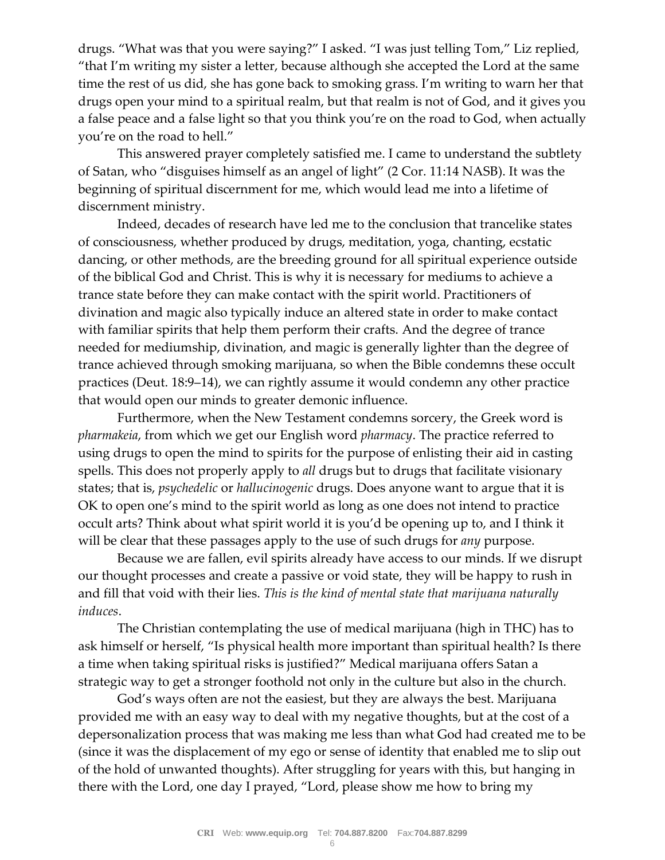drugs. "What was that you were saying?" I asked. "I was just telling Tom," Liz replied, "that I'm writing my sister a letter, because although she accepted the Lord at the same time the rest of us did, she has gone back to smoking grass. I'm writing to warn her that drugs open your mind to a spiritual realm, but that realm is not of God, and it gives you a false peace and a false light so that you think you're on the road to God, when actually you're on the road to hell."

This answered prayer completely satisfied me. I came to understand the subtlety of Satan, who "disguises himself as an angel of light" (2 Cor. 11:14 NASB). It was the beginning of spiritual discernment for me, which would lead me into a lifetime of discernment ministry.

Indeed, decades of research have led me to the conclusion that trancelike states of consciousness, whether produced by drugs, meditation, yoga, chanting, ecstatic dancing, or other methods, are the breeding ground for all spiritual experience outside of the biblical God and Christ. This is why it is necessary for mediums to achieve a trance state before they can make contact with the spirit world. Practitioners of divination and magic also typically induce an altered state in order to make contact with familiar spirits that help them perform their crafts. And the degree of trance needed for mediumship, divination, and magic is generally lighter than the degree of trance achieved through smoking marijuana, so when the Bible condemns these occult practices (Deut. 18:9–14), we can rightly assume it would condemn any other practice that would open our minds to greater demonic influence.

Furthermore, when the New Testament condemns sorcery, the Greek word is *pharmakeia*, from which we get our English word *pharmacy*. The practice referred to using drugs to open the mind to spirits for the purpose of enlisting their aid in casting spells. This does not properly apply to *all* drugs but to drugs that facilitate visionary states; that is, *psychedelic* or *hallucinogenic* drugs. Does anyone want to argue that it is OK to open one's mind to the spirit world as long as one does not intend to practice occult arts? Think about what spirit world it is you'd be opening up to, and I think it will be clear that these passages apply to the use of such drugs for *any* purpose.

Because we are fallen, evil spirits already have access to our minds. If we disrupt our thought processes and create a passive or void state, they will be happy to rush in and fill that void with their lies. *This is the kind of mental state that marijuana naturally induces*.

The Christian contemplating the use of medical marijuana (high in THC) has to ask himself or herself, "Is physical health more important than spiritual health? Is there a time when taking spiritual risks is justified?" Medical marijuana offers Satan a strategic way to get a stronger foothold not only in the culture but also in the church.

God's ways often are not the easiest, but they are always the best. Marijuana provided me with an easy way to deal with my negative thoughts, but at the cost of a depersonalization process that was making me less than what God had created me to be (since it was the displacement of my ego or sense of identity that enabled me to slip out of the hold of unwanted thoughts). After struggling for years with this, but hanging in there with the Lord, one day I prayed, "Lord, please show me how to bring my